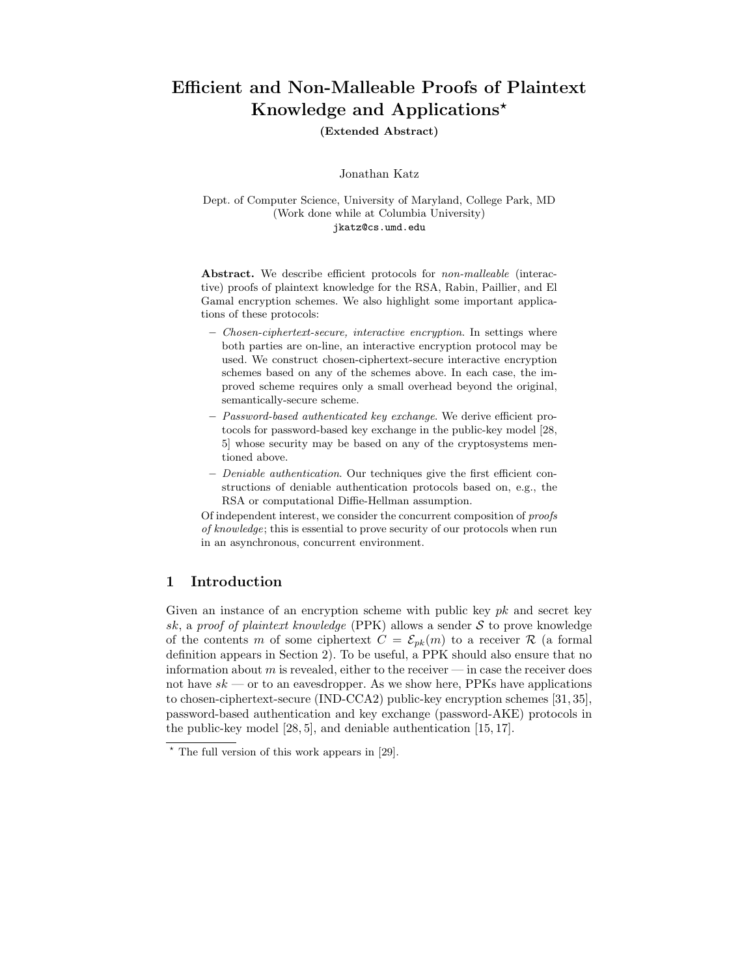# Efficient and Non-Malleable Proofs of Plaintext Knowledge and Applications<sup>\*</sup>

(Extended Abstract)

Jonathan Katz

Dept. of Computer Science, University of Maryland, College Park, MD (Work done while at Columbia University) jkatz@cs.umd.edu

Abstract. We describe efficient protocols for *non-malleable* (interactive) proofs of plaintext knowledge for the RSA, Rabin, Paillier, and El Gamal encryption schemes. We also highlight some important applications of these protocols:

- Chosen-ciphertext-secure, interactive encryption. In settings where both parties are on-line, an interactive encryption protocol may be used. We construct chosen-ciphertext-secure interactive encryption schemes based on any of the schemes above. In each case, the improved scheme requires only a small overhead beyond the original, semantically-secure scheme.
- Password-based authenticated key exchange. We derive efficient protocols for password-based key exchange in the public-key model [28, 5] whose security may be based on any of the cryptosystems mentioned above.
- Deniable authentication. Our techniques give the first efficient constructions of deniable authentication protocols based on, e.g., the RSA or computational Diffie-Hellman assumption.

Of independent interest, we consider the concurrent composition of proofs of knowledge; this is essential to prove security of our protocols when run in an asynchronous, concurrent environment.

# 1 Introduction

Given an instance of an encryption scheme with public key  $pk$  and secret key sk, a proof of plaintext knowledge (PPK) allows a sender  $S$  to prove knowledge of the contents m of some ciphertext  $C = \mathcal{E}_{pk}(m)$  to a receiver R (a formal definition appears in Section 2). To be useful, a PPK should also ensure that no information about  $m$  is revealed, either to the receiver  $\frac{m}{m}$  case the receiver does not have  $sk$  — or to an eavesdropper. As we show here, PPKs have applications to chosen-ciphertext-secure (IND-CCA2) public-key encryption schemes [31, 35], password-based authentication and key exchange (password-AKE) protocols in the public-key model [28, 5], and deniable authentication [15, 17].

 $*$  The full version of this work appears in [29].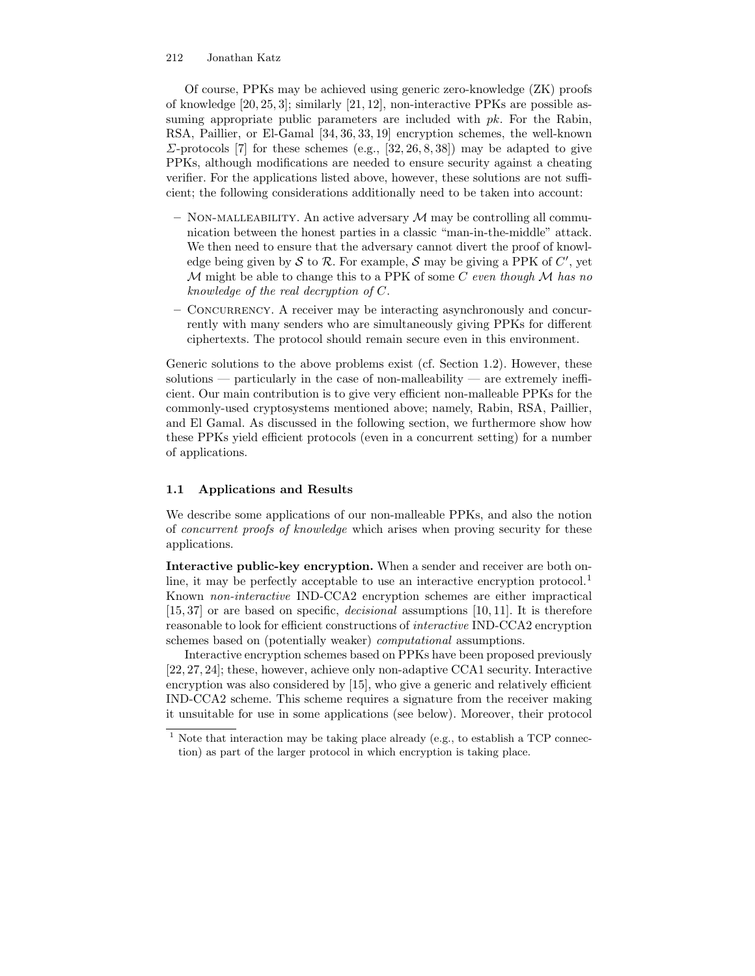Of course, PPKs may be achieved using generic zero-knowledge (ZK) proofs of knowledge  $[20, 25, 3]$ ; similarly  $[21, 12]$ , non-interactive PPKs are possible assuming appropriate public parameters are included with  $pk$ . For the Rabin, RSA, Paillier, or El-Gamal [34, 36, 33, 19] encryption schemes, the well-known  $\Sigma$ -protocols [7] for these schemes (e.g., [32, 26, 8, 38]) may be adapted to give PPKs, although modifications are needed to ensure security against a cheating verifier. For the applications listed above, however, these solutions are not sufficient; the following considerations additionally need to be taken into account:

- $-$  NON-MALLEABILITY. An active adversary  $\mathcal M$  may be controlling all communication between the honest parties in a classic "man-in-the-middle" attack. We then need to ensure that the adversary cannot divert the proof of knowledge being given by S to R. For example, S may be giving a PPK of  $C'$ , yet  $M$  might be able to change this to a PPK of some C even though  $M$  has no knowledge of the real decryption of C.
- Concurrency. A receiver may be interacting asynchronously and concurrently with many senders who are simultaneously giving PPKs for different ciphertexts. The protocol should remain secure even in this environment.

Generic solutions to the above problems exist (cf. Section 1.2). However, these solutions — particularly in the case of non-malleability — are extremely inefficient. Our main contribution is to give very efficient non-malleable PPKs for the commonly-used cryptosystems mentioned above; namely, Rabin, RSA, Paillier, and El Gamal. As discussed in the following section, we furthermore show how these PPKs yield efficient protocols (even in a concurrent setting) for a number of applications.

#### 1.1 Applications and Results

We describe some applications of our non-malleable PPKs, and also the notion of concurrent proofs of knowledge which arises when proving security for these applications.

Interactive public-key encryption. When a sender and receiver are both online, it may be perfectly acceptable to use an interactive encryption protocol.<sup>1</sup> Known non-interactive IND-CCA2 encryption schemes are either impractical [15, 37] or are based on specific, decisional assumptions [10, 11]. It is therefore reasonable to look for efficient constructions of interactive IND-CCA2 encryption schemes based on (potentially weaker) computational assumptions.

Interactive encryption schemes based on PPKs have been proposed previously [22, 27, 24]; these, however, achieve only non-adaptive CCA1 security. Interactive encryption was also considered by [15], who give a generic and relatively efficient IND-CCA2 scheme. This scheme requires a signature from the receiver making it unsuitable for use in some applications (see below). Moreover, their protocol

 $^{\rm 1}$  Note that interaction may be taking place already (e.g., to establish a TCP connection) as part of the larger protocol in which encryption is taking place.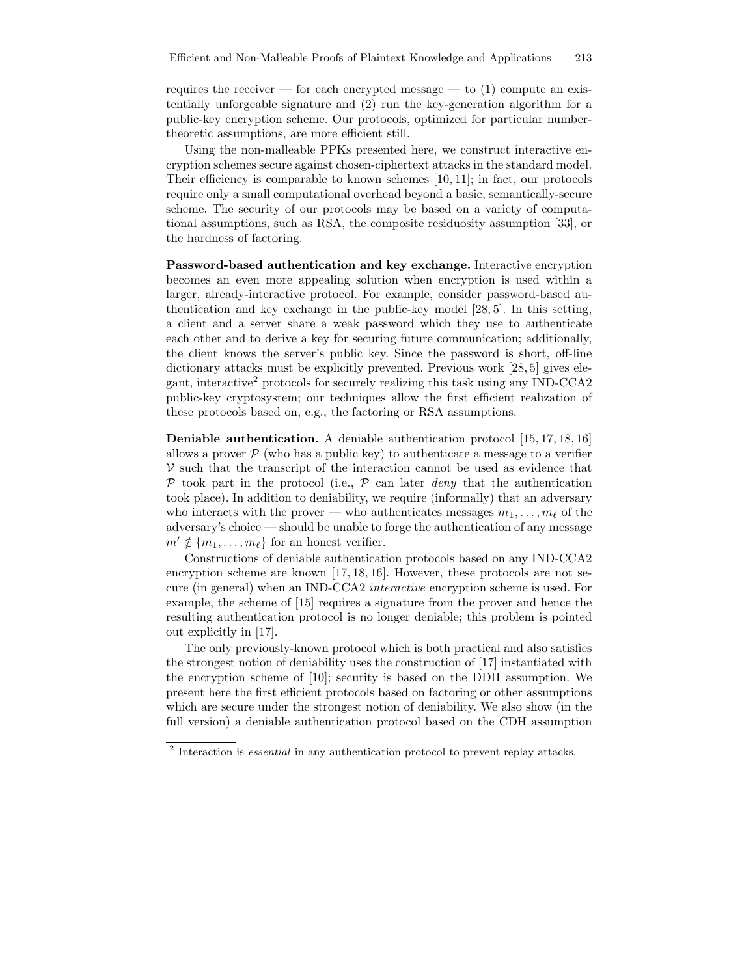requires the receiver — for each encrypted message — to  $(1)$  compute an existentially unforgeable signature and (2) run the key-generation algorithm for a public-key encryption scheme. Our protocols, optimized for particular numbertheoretic assumptions, are more efficient still.

Using the non-malleable PPKs presented here, we construct interactive encryption schemes secure against chosen-ciphertext attacks in the standard model. Their efficiency is comparable to known schemes [10, 11]; in fact, our protocols require only a small computational overhead beyond a basic, semantically-secure scheme. The security of our protocols may be based on a variety of computational assumptions, such as RSA, the composite residuosity assumption [33], or the hardness of factoring.

Password-based authentication and key exchange. Interactive encryption becomes an even more appealing solution when encryption is used within a larger, already-interactive protocol. For example, consider password-based authentication and key exchange in the public-key model [28, 5]. In this setting, a client and a server share a weak password which they use to authenticate each other and to derive a key for securing future communication; additionally, the client knows the server's public key. Since the password is short, off-line dictionary attacks must be explicitly prevented. Previous work [28, 5] gives elegant, interactive <sup>2</sup> protocols for securely realizing this task using any IND-CCA2 public-key cryptosystem; our techniques allow the first efficient realization of these protocols based on, e.g., the factoring or RSA assumptions.

Deniable authentication. A deniable authentication protocol [15, 17, 18, 16] allows a prover  $P$  (who has a public key) to authenticate a message to a verifier  $V$  such that the transcript of the interaction cannot be used as evidence that  $P$  took part in the protocol (i.e.,  $P$  can later *deny* that the authentication took place). In addition to deniability, we require (informally) that an adversary who interacts with the prover — who authenticates messages  $m_1, \ldots, m_\ell$  of the adversary's choice — should be unable to forge the authentication of any message  $m' \notin \{m_1, \ldots, m_\ell\}$  for an honest verifier.

Constructions of deniable authentication protocols based on any IND-CCA2 encryption scheme are known [17, 18, 16]. However, these protocols are not secure (in general) when an IND-CCA2 interactive encryption scheme is used. For example, the scheme of [15] requires a signature from the prover and hence the resulting authentication protocol is no longer deniable; this problem is pointed out explicitly in [17].

The only previously-known protocol which is both practical and also satisfies the strongest notion of deniability uses the construction of [17] instantiated with the encryption scheme of [10]; security is based on the DDH assumption. We present here the first efficient protocols based on factoring or other assumptions which are secure under the strongest notion of deniability. We also show (in the full version) a deniable authentication protocol based on the CDH assumption

<sup>&</sup>lt;sup>2</sup> Interaction is *essential* in any authentication protocol to prevent replay attacks.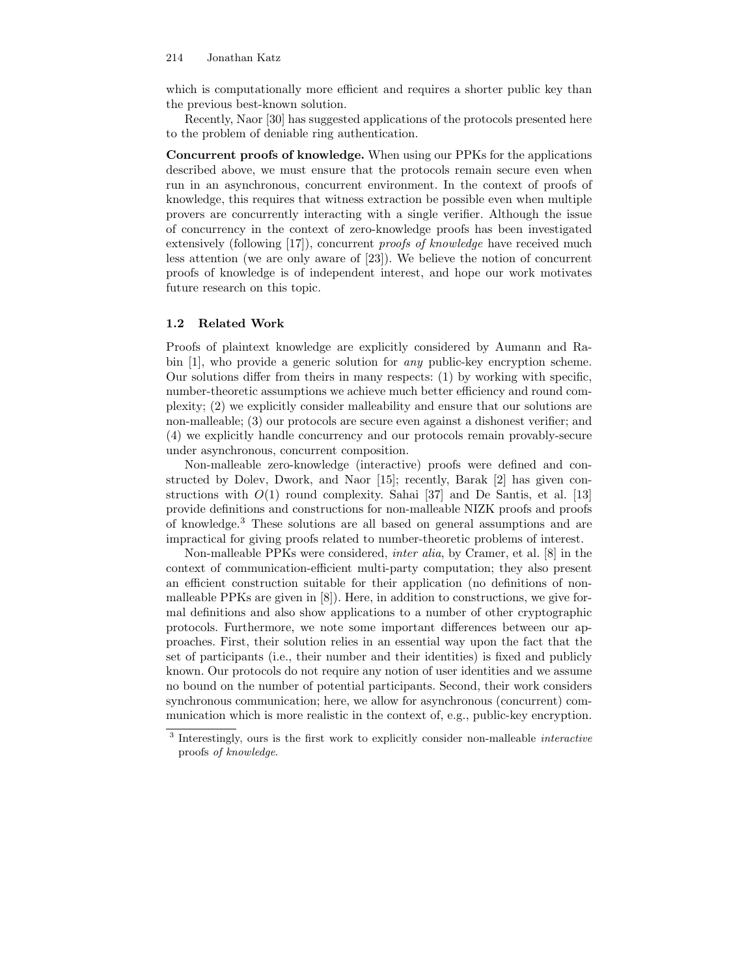which is computationally more efficient and requires a shorter public key than the previous best-known solution.

Recently, Naor [30] has suggested applications of the protocols presented here to the problem of deniable ring authentication.

Concurrent proofs of knowledge. When using our PPKs for the applications described above, we must ensure that the protocols remain secure even when run in an asynchronous, concurrent environment. In the context of proofs of knowledge, this requires that witness extraction be possible even when multiple provers are concurrently interacting with a single verifier. Although the issue of concurrency in the context of zero-knowledge proofs has been investigated extensively (following [17]), concurrent *proofs of knowledge* have received much less attention (we are only aware of [23]). We believe the notion of concurrent proofs of knowledge is of independent interest, and hope our work motivates future research on this topic.

#### 1.2 Related Work

Proofs of plaintext knowledge are explicitly considered by Aumann and Rabin [1], who provide a generic solution for any public-key encryption scheme. Our solutions differ from theirs in many respects: (1) by working with specific, number-theoretic assumptions we achieve much better efficiency and round complexity; (2) we explicitly consider malleability and ensure that our solutions are non-malleable; (3) our protocols are secure even against a dishonest verifier; and (4) we explicitly handle concurrency and our protocols remain provably-secure under asynchronous, concurrent composition.

Non-malleable zero-knowledge (interactive) proofs were defined and constructed by Dolev, Dwork, and Naor [15]; recently, Barak [2] has given constructions with  $O(1)$  round complexity. Sahai [37] and De Santis, et al. [13] provide definitions and constructions for non-malleable NIZK proofs and proofs of knowledge.<sup>3</sup> These solutions are all based on general assumptions and are impractical for giving proofs related to number-theoretic problems of interest.

Non-malleable PPKs were considered, inter alia, by Cramer, et al. [8] in the context of communication-efficient multi-party computation; they also present an efficient construction suitable for their application (no definitions of nonmalleable PPKs are given in [8]). Here, in addition to constructions, we give formal definitions and also show applications to a number of other cryptographic protocols. Furthermore, we note some important differences between our approaches. First, their solution relies in an essential way upon the fact that the set of participants (i.e., their number and their identities) is fixed and publicly known. Our protocols do not require any notion of user identities and we assume no bound on the number of potential participants. Second, their work considers synchronous communication; here, we allow for asynchronous (concurrent) communication which is more realistic in the context of, e.g., public-key encryption.

<sup>&</sup>lt;sup>3</sup> Interestingly, ours is the first work to explicitly consider non-malleable *interactive* proofs of knowledge.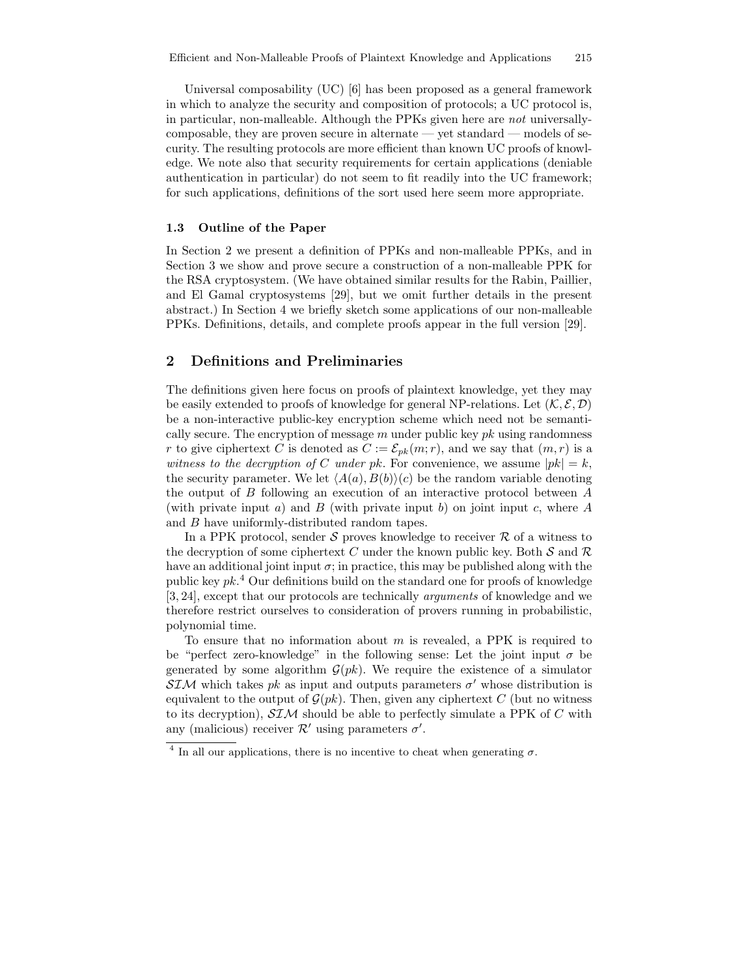Universal composability (UC) [6] has been proposed as a general framework in which to analyze the security and composition of protocols; a UC protocol is, in particular, non-malleable. Although the PPKs given here are not universallycomposable, they are proven secure in alternate — yet standard — models of security. The resulting protocols are more efficient than known UC proofs of knowledge. We note also that security requirements for certain applications (deniable authentication in particular) do not seem to fit readily into the UC framework; for such applications, definitions of the sort used here seem more appropriate.

### 1.3 Outline of the Paper

In Section 2 we present a definition of PPKs and non-malleable PPKs, and in Section 3 we show and prove secure a construction of a non-malleable PPK for the RSA cryptosystem. (We have obtained similar results for the Rabin, Paillier, and El Gamal cryptosystems [29], but we omit further details in the present abstract.) In Section 4 we briefly sketch some applications of our non-malleable PPKs. Definitions, details, and complete proofs appear in the full version [29].

## 2 Definitions and Preliminaries

The definitions given here focus on proofs of plaintext knowledge, yet they may be easily extended to proofs of knowledge for general NP-relations. Let  $(K, \mathcal{E}, \mathcal{D})$ be a non-interactive public-key encryption scheme which need not be semantically secure. The encryption of message  $m$  under public key  $pk$  using randomness r to give ciphertext C is denoted as  $C := \mathcal{E}_{pk}(m; r)$ , and we say that  $(m, r)$  is a witness to the decryption of C under pk. For convenience, we assume  $|pk| = k$ , the security parameter. We let  $\langle A(a), B(b) \rangle (c)$  be the random variable denoting the output of B following an execution of an interactive protocol between A (with private input a) and B (with private input b) on joint input c, where  $A$ and B have uniformly-distributed random tapes.

In a PPK protocol, sender  $S$  proves knowledge to receiver  $R$  of a witness to the decryption of some ciphertext C under the known public key. Both  $S$  and  $R$ have an additional joint input  $\sigma$ ; in practice, this may be published along with the public key pk. <sup>4</sup> Our definitions build on the standard one for proofs of knowledge [3, 24], except that our protocols are technically arguments of knowledge and we therefore restrict ourselves to consideration of provers running in probabilistic, polynomial time.

To ensure that no information about  $m$  is revealed, a PPK is required to be "perfect zero-knowledge" in the following sense: Let the joint input  $\sigma$  be generated by some algorithm  $\mathcal{G}(pk)$ . We require the existence of a simulator SIM which takes pk as input and outputs parameters  $\sigma'$  whose distribution is equivalent to the output of  $\mathcal{G}(pk)$ . Then, given any ciphertext C (but no witness to its decryption),  $\mathcal{SIM}$  should be able to perfectly simulate a PPK of C with any (malicious) receiver  $\mathcal{R}'$  using parameters  $\sigma'$ .

<sup>&</sup>lt;sup>4</sup> In all our applications, there is no incentive to cheat when generating  $\sigma$ .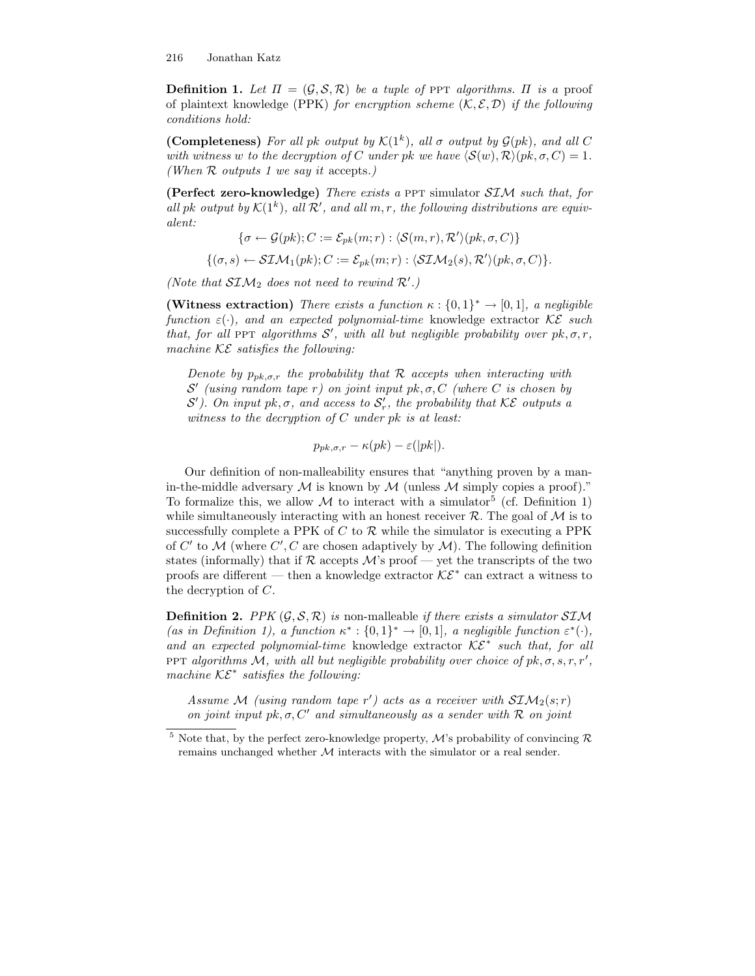**Definition 1.** Let  $\Pi = (\mathcal{G}, \mathcal{S}, \mathcal{R})$  be a tuple of PPT algorithms.  $\Pi$  is a proof of plaintext knowledge (PPK) for encryption scheme  $(K, \mathcal{E}, \mathcal{D})$  if the following conditions hold:

(Completeness) For all pk output by  $\mathcal{K}(1^k)$ , all  $\sigma$  output by  $\mathcal{G}(pk)$ , and all C with witness w to the decryption of C under pk we have  $\langle \mathcal{S}(w), \mathcal{R} \rangle (pk, \sigma, C) = 1$ . (When  $R$  outputs 1 we say it accepts.)

(Perfect zero-knowledge) There exists a ppt simulator SIM such that, for all pk output by  $\mathcal{K}(1^k)$ , all  $\mathcal{R}'$ , and all  $m, r$ , the following distributions are equivalent:

$$
\{\sigma \leftarrow \mathcal{G}(pk); C := \mathcal{E}_{pk}(m; r) : \langle \mathcal{S}(m, r), \mathcal{R}' \rangle (pk, \sigma, C) \}
$$
  

$$
\{(\sigma, s) \leftarrow \mathcal{SIM}_1(pk); C := \mathcal{E}_{pk}(m; r) : \langle \mathcal{SIM}_2(s), \mathcal{R}' \rangle (pk, \sigma, C) \}.
$$

(Note that  $STM_2$  does not need to rewind  $\mathcal{R}'$ .)

(Witness extraction) There exists a function  $\kappa : \{0,1\}^* \to [0,1]$ , a negligible function  $\varepsilon(\cdot)$ , and an expected polynomial-time knowledge extractor  $\mathcal{KE}$  such that, for all PPT algorithms  $S'$ , with all but negligible probability over  $pk, \sigma, r$ , machine  $KE$  satisfies the following:

Denote by  $p_{pk, \sigma,r}$  the probability that R accepts when interacting with  $\mathcal{S}'$  (using random tape r) on joint input pk,  $\sigma$ , C (where C is chosen by  $\mathcal{S}'$ ). On input pk,  $\sigma$ , and access to  $\mathcal{S}'_r$ , the probability that KE outputs a witness to the decryption of  $C$  under pk is at least:

$$
p_{pk, \sigma, r} - \kappa(pk) - \varepsilon(|pk|).
$$

Our definition of non-malleability ensures that "anything proven by a manin-the-middle adversary  $M$  is known by  $M$  (unless  $M$  simply copies a proof)." To formalize this, we allow  $\mathcal M$  to interact with a simulator<sup>5</sup> (cf. Definition 1) while simultaneously interacting with an honest receiver  $\mathcal{R}$ . The goal of  $\mathcal{M}$  is to successfully complete a PPK of  $C$  to  $\mathcal R$  while the simulator is executing a PPK of  $C'$  to  $\mathcal M$  (where  $C', C$  are chosen adaptively by  $\mathcal M$ ). The following definition states (informally) that if  $R$  accepts  $M$ 's proof — yet the transcripts of the two proofs are different — then a knowledge extractor  $\mathcal{KE}^*$  can extract a witness to the decryption of C.

**Definition 2.** PPK  $(G, \mathcal{S}, \mathcal{R})$  is non-malleable if there exists a simulator  $\mathcal{SIM}$ (as in Definition 1), a function  $\kappa^*: \{0,1\}^* \to [0,1]$ , a negligible function  $\varepsilon^*(\cdot)$ , and an expected polynomial-time knowledge extractor  $\mathcal{KE}^*$  such that, for all PPT algorithms M, with all but negligible probability over choice of  $pk, \sigma, s, r, r'$ , machine  $K\mathcal{E}^*$  satisfies the following:

Assume  $M$  (using random tape r') acts as a receiver with  $SIM_2(s;r)$ on joint input  $pk, \sigma, C'$  and simultaneously as a sender with  $R$  on joint

<sup>&</sup>lt;sup>5</sup> Note that, by the perfect zero-knowledge property,  $\mathcal{M}$ 's probability of convincing  $\mathcal{R}$ remains unchanged whether M interacts with the simulator or a real sender.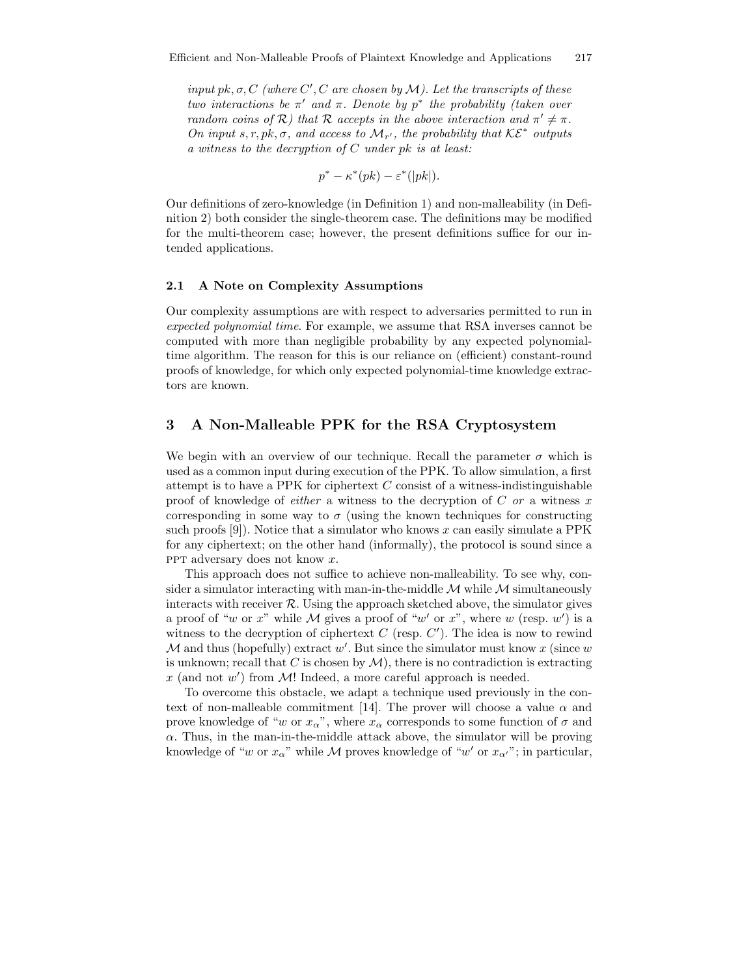input  $pk, \sigma, C$  (where  $C', C$  are chosen by M). Let the transcripts of these two interactions be  $\pi'$  and  $\pi$ . Denote by  $p^*$  the probability (taken over random coins of R) that R accepts in the above interaction and  $\pi' \neq \pi$ . On input s, r, pk,  $\sigma$ , and access to  $\mathcal{M}_{r'}$ , the probability that  $\mathcal{KE}^*$  outputs a witness to the decryption of C under pk is at least:

$$
p^* - \kappa^*(pk) - \varepsilon^*(|pk|).
$$

Our definitions of zero-knowledge (in Definition 1) and non-malleability (in Definition 2) both consider the single-theorem case. The definitions may be modified for the multi-theorem case; however, the present definitions suffice for our intended applications.

#### 2.1 A Note on Complexity Assumptions

Our complexity assumptions are with respect to adversaries permitted to run in expected polynomial time. For example, we assume that RSA inverses cannot be computed with more than negligible probability by any expected polynomialtime algorithm. The reason for this is our reliance on (efficient) constant-round proofs of knowledge, for which only expected polynomial-time knowledge extractors are known.

## 3 A Non-Malleable PPK for the RSA Cryptosystem

We begin with an overview of our technique. Recall the parameter  $\sigma$  which is used as a common input during execution of the PPK. To allow simulation, a first attempt is to have a PPK for ciphertext  $C$  consist of a witness-indistinguishable proof of knowledge of *either* a witness to the decryption of  $C$  or a witness  $x$ corresponding in some way to  $\sigma$  (using the known techniques for constructing such proofs  $[9]$ ). Notice that a simulator who knows x can easily simulate a PPK for any ciphertext; on the other hand (informally), the protocol is sound since a PPT adversary does not know  $x$ .

This approach does not suffice to achieve non-malleability. To see why, consider a simulator interacting with man-in-the-middle  $M$  while  $M$  simultaneously interacts with receiver  $R$ . Using the approach sketched above, the simulator gives a proof of "w or x" while  $M$  gives a proof of "w' or x", where w (resp. w') is a witness to the decryption of ciphertext  $C$  (resp.  $C'$ ). The idea is now to rewind M and thus (hopefully) extract  $w'$ . But since the simulator must know x (since w is unknown; recall that C is chosen by  $\mathcal{M}$ ), there is no contradiction is extracting x (and not  $w'$ ) from M! Indeed, a more careful approach is needed.

To overcome this obstacle, we adapt a technique used previously in the context of non-malleable commitment [14]. The prover will choose a value  $\alpha$  and prove knowledge of "w or  $x_{\alpha}$ ", where  $x_{\alpha}$  corresponds to some function of  $\sigma$  and  $\alpha$ . Thus, in the man-in-the-middle attack above, the simulator will be proving knowledge of "w or  $x_{\alpha}$ " while M proves knowledge of "w' or  $x_{\alpha}$ "; in particular,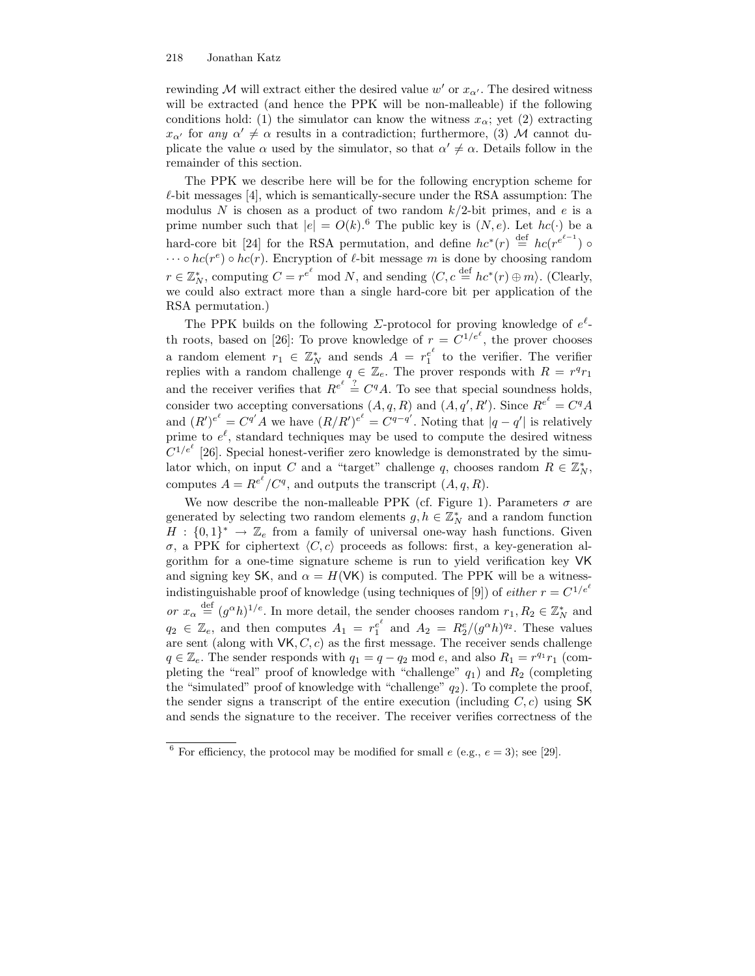rewinding M will extract either the desired value  $w'$  or  $x_{\alpha'}$ . The desired witness will be extracted (and hence the PPK will be non-malleable) if the following conditions hold: (1) the simulator can know the witness  $x_{\alpha}$ ; yet (2) extracting  $x_{\alpha}$  for any  $\alpha' \neq \alpha$  results in a contradiction; furthermore, (3) M cannot duplicate the value  $\alpha$  used by the simulator, so that  $\alpha' \neq \alpha$ . Details follow in the remainder of this section.

The PPK we describe here will be for the following encryption scheme for  $\ell$ -bit messages [4], which is semantically-secure under the RSA assumption: The modulus N is chosen as a product of two random  $k/2$ -bit primes, and e is a prime number such that  $|e| = O(k)$ .<sup>6</sup> The public key is  $(N, e)$ . Let  $hc(\cdot)$  be a hard-core bit [24] for the RSA permutation, and define  $hc^*(r) \stackrel{\text{def}}{=} hc(r^{e^{\ell-1}})$   $\circ$  $\cdots \circ hc(r^e) \circ hc(r)$ . Encryption of  $\ell$ -bit message m is done by choosing random  $r \in \mathbb{Z}_N^*$ , computing  $C = r^{e^{\ell}} \mod N$ , and sending  $\langle C, c \stackrel{\text{def}}{=} hc^*(r) \oplus m \rangle$ . (Clearly, we could also extract more than a single hard-core bit per application of the RSA permutation.)

The PPK builds on the following  $\Sigma$ -protocol for proving knowledge of  $e^{\ell}$ th roots, based on [26]: To prove knowledge of  $r = C^{1/e^{\ell}}$ , the prover chooses a random element  $r_1 \in \mathbb{Z}_N^*$  and sends  $A = r_1^{e^{\ell}}$  to the verifier. The verifier replies with a random challenge  $q \in \mathbb{Z}_e$ . The prover responds with  $R = r^q r_1$ and the receiver verifies that  $Re^{\ell} \stackrel{?}{=} C^q A$ . To see that special soundness holds, consider two accepting conversations  $(A, q, R)$  and  $(A, q', R')$ . Since  $R^{e^{\ell}} = C^{q} A$ and  $(R')^{e^{\ell}} = C^{q'}A$  we have  $(R/R')^{e^{\ell}} = C^{q-q'}$ . Noting that  $|q-q'|$  is relatively prime to  $e^{\ell}$ , standard techniques may be used to compute the desired witness  $C^{1/e^{\ell}}$  [26]. Special honest-verifier zero knowledge is demonstrated by the simulator which, on input C and a "target" challenge q, chooses random  $R \in \mathbb{Z}_N^*$ , computes  $A = Re^{\ell}/C^q$ , and outputs the transcript  $(A, q, R)$ .

We now describe the non-malleable PPK (cf. Figure 1). Parameters  $\sigma$  are generated by selecting two random elements  $g, h \in \mathbb{Z}_N^*$  and a random function  $H: \{0,1\}^* \to \mathbb{Z}_e$  from a family of universal one-way hash functions. Given σ, a PPK for ciphertext  $\langle C, c \rangle$  proceeds as follows: first, a key-generation algorithm for a one-time signature scheme is run to yield verification key VK and signing key SK, and  $\alpha = H(VK)$  is computed. The PPK will be a witnessindistinguishable proof of knowledge (using techniques of [9]) of *either*  $r = C^{1/e^{\ell}}$ or  $x_{\alpha} \stackrel{\text{def}}{=} (g^{\alpha}h)^{1/e}$ . In more detail, the sender chooses random  $r_1, R_2 \in \mathbb{Z}_N^*$  and  $q_2 \in \mathbb{Z}_e$ , and then computes  $A_1 = r_1^{e^{\ell}}$  and  $A_2 = R_2^{e}/(g^{\alpha}h)^{q_2}$ . These values are sent (along with  $VK, C, c$ ) as the first message. The receiver sends challenge  $q \in \mathbb{Z}_e$ . The sender responds with  $q_1 = q - q_2 \mod e$ , and also  $R_1 = r^{q_1} r_1$  (completing the "real" proof of knowledge with "challenge"  $q_1$ ) and  $R_2$  (completing the "simulated" proof of knowledge with "challenge"  $q_2$ ). To complete the proof, the sender signs a transcript of the entire execution (including  $C, c$ ) using SK and sends the signature to the receiver. The receiver verifies correctness of the

<sup>&</sup>lt;sup>6</sup> For efficiency, the protocol may be modified for small  $e$  (e.g.,  $e = 3$ ); see [29].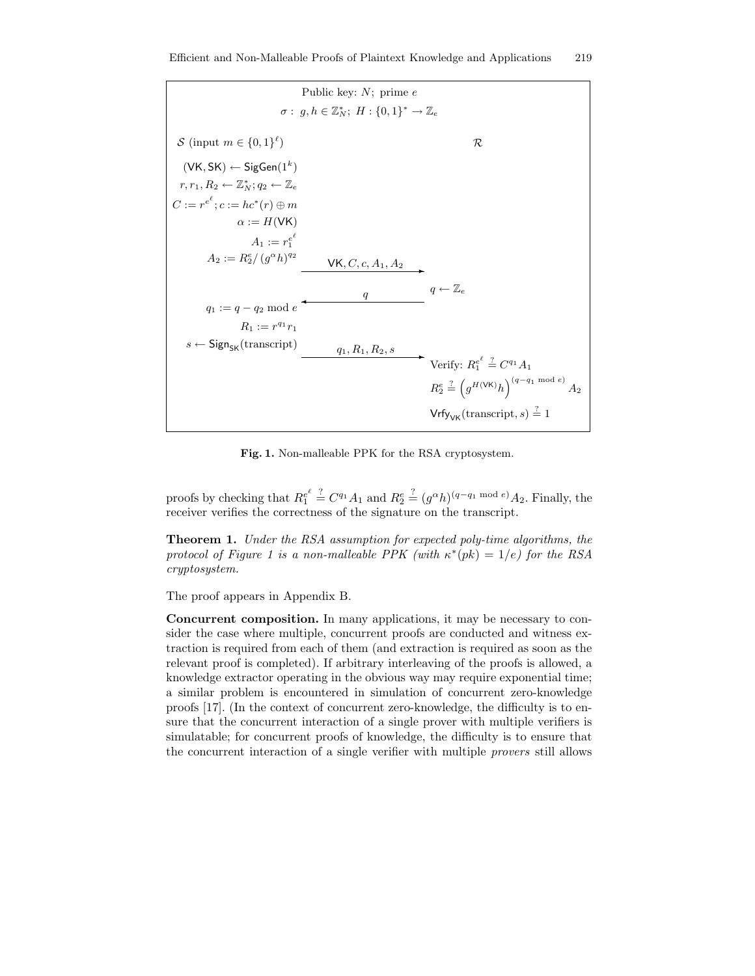

Fig. 1. Non-malleable PPK for the RSA cryptosystem.

proofs by checking that  $R_1^{e^{\ell}} \stackrel{?}{=} C^{q_1}A_1$  and  $R_2^e \stackrel{?}{=} (g^{\alpha}h)^{(q-q_1 \bmod e)}A_2$ . Finally, the receiver verifies the correctness of the signature on the transcript.

Theorem 1. Under the RSA assumption for expected poly-time algorithms, the protocol of Figure 1 is a non-malleable PPK (with  $\kappa^*(pk) = 1/e$ ) for the RSA cryptosystem.

The proof appears in Appendix B.

Concurrent composition. In many applications, it may be necessary to consider the case where multiple, concurrent proofs are conducted and witness extraction is required from each of them (and extraction is required as soon as the relevant proof is completed). If arbitrary interleaving of the proofs is allowed, a knowledge extractor operating in the obvious way may require exponential time; a similar problem is encountered in simulation of concurrent zero-knowledge proofs [17]. (In the context of concurrent zero-knowledge, the difficulty is to ensure that the concurrent interaction of a single prover with multiple verifiers is simulatable; for concurrent proofs of knowledge, the difficulty is to ensure that the concurrent interaction of a single verifier with multiple provers still allows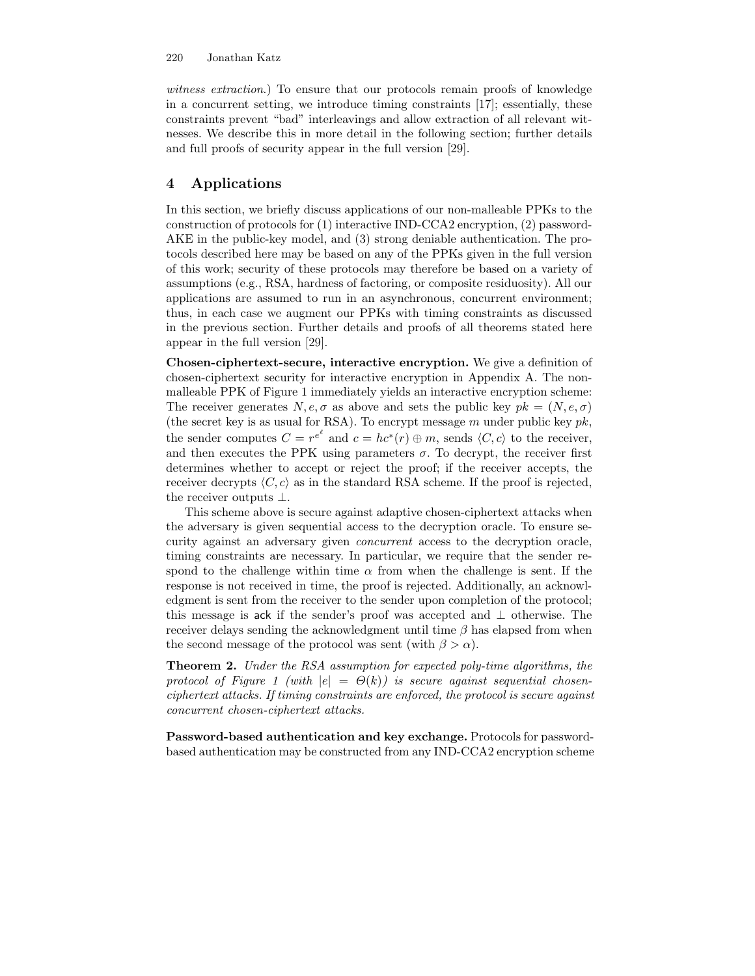witness extraction.) To ensure that our protocols remain proofs of knowledge in a concurrent setting, we introduce timing constraints  $[17]$ ; essentially, these constraints prevent "bad" interleavings and allow extraction of all relevant witnesses. We describe this in more detail in the following section; further details and full proofs of security appear in the full version [29].

# 4 Applications

In this section, we briefly discuss applications of our non-malleable PPKs to the construction of protocols for (1) interactive IND-CCA2 encryption, (2) password-AKE in the public-key model, and (3) strong deniable authentication. The protocols described here may be based on any of the PPKs given in the full version of this work; security of these protocols may therefore be based on a variety of assumptions (e.g., RSA, hardness of factoring, or composite residuosity). All our applications are assumed to run in an asynchronous, concurrent environment; thus, in each case we augment our PPKs with timing constraints as discussed in the previous section. Further details and proofs of all theorems stated here appear in the full version [29].

Chosen-ciphertext-secure, interactive encryption. We give a definition of chosen-ciphertext security for interactive encryption in Appendix A. The nonmalleable PPK of Figure 1 immediately yields an interactive encryption scheme: The receiver generates  $N, e, \sigma$  as above and sets the public key  $pk = (N, e, \sigma)$ (the secret key is as usual for RSA). To encrypt message m under public key  $pk$ , the sender computes  $C = r^{e^{\ell}}$  and  $c = h c^*(r) \oplus m$ , sends  $\langle C, c \rangle$  to the receiver, and then executes the PPK using parameters  $\sigma$ . To decrypt, the receiver first determines whether to accept or reject the proof; if the receiver accepts, the receiver decrypts  $\langle C, c \rangle$  as in the standard RSA scheme. If the proof is rejected, the receiver outputs ⊥.

This scheme above is secure against adaptive chosen-ciphertext attacks when the adversary is given sequential access to the decryption oracle. To ensure security against an adversary given concurrent access to the decryption oracle, timing constraints are necessary. In particular, we require that the sender respond to the challenge within time  $\alpha$  from when the challenge is sent. If the response is not received in time, the proof is rejected. Additionally, an acknowledgment is sent from the receiver to the sender upon completion of the protocol; this message is ack if the sender's proof was accepted and  $\perp$  otherwise. The receiver delays sending the acknowledgment until time  $\beta$  has elapsed from when the second message of the protocol was sent (with  $\beta > \alpha$ ).

Theorem 2. Under the RSA assumption for expected poly-time algorithms, the protocol of Figure 1 (with  $|e| = \Theta(k)$ ) is secure against sequential chosenciphertext attacks. If timing constraints are enforced, the protocol is secure against concurrent chosen-ciphertext attacks.

Password-based authentication and key exchange. Protocols for passwordbased authentication may be constructed from any IND-CCA2 encryption scheme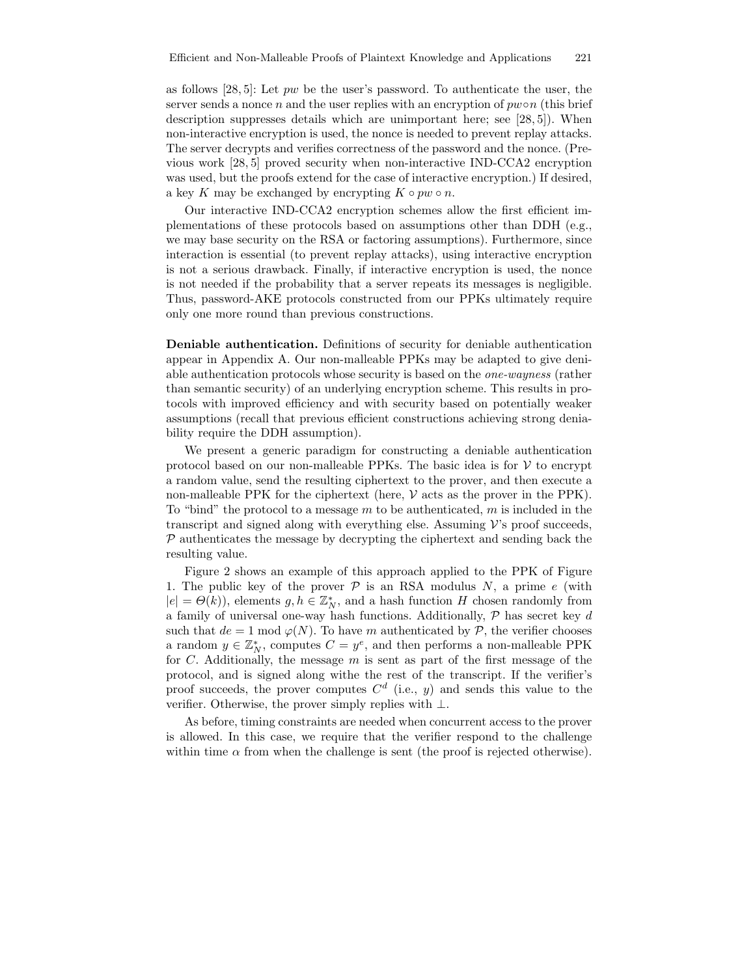as follows  $[28, 5]$ : Let pw be the user's password. To authenticate the user, the server sends a nonce n and the user replies with an encryption of  $pw \circ n$  (this brief description suppresses details which are unimportant here; see [28, 5]). When non-interactive encryption is used, the nonce is needed to prevent replay attacks. The server decrypts and verifies correctness of the password and the nonce. (Previous work [28, 5] proved security when non-interactive IND-CCA2 encryption was used, but the proofs extend for the case of interactive encryption.) If desired, a key K may be exchanged by encrypting  $K \circ pw \circ n$ .

Our interactive IND-CCA2 encryption schemes allow the first efficient implementations of these protocols based on assumptions other than DDH (e.g., we may base security on the RSA or factoring assumptions). Furthermore, since interaction is essential (to prevent replay attacks), using interactive encryption is not a serious drawback. Finally, if interactive encryption is used, the nonce is not needed if the probability that a server repeats its messages is negligible. Thus, password-AKE protocols constructed from our PPKs ultimately require only one more round than previous constructions.

Deniable authentication. Definitions of security for deniable authentication appear in Appendix A. Our non-malleable PPKs may be adapted to give deniable authentication protocols whose security is based on the one-wayness (rather than semantic security) of an underlying encryption scheme. This results in protocols with improved efficiency and with security based on potentially weaker assumptions (recall that previous efficient constructions achieving strong deniability require the DDH assumption).

We present a generic paradigm for constructing a deniable authentication protocol based on our non-malleable PPKs. The basic idea is for  $\mathcal V$  to encrypt a random value, send the resulting ciphertext to the prover, and then execute a non-malleable PPK for the ciphertext (here,  $V$  acts as the prover in the PPK). To "bind" the protocol to a message  $m$  to be authenticated,  $m$  is included in the transcript and signed along with everything else. Assuming  $\mathcal V$ 's proof succeeds,  $P$  authenticates the message by decrypting the ciphertext and sending back the resulting value.

Figure 2 shows an example of this approach applied to the PPK of Figure 1. The public key of the prover  $P$  is an RSA modulus N, a prime e (with  $|e| = \Theta(k)$ , elements  $g, h \in \mathbb{Z}_N^*$ , and a hash function H chosen randomly from a family of universal one-way hash functions. Additionally,  $P$  has secret key  $d$ such that  $de = 1 \mod \varphi(N)$ . To have m authenticated by P, the verifier chooses a random  $y \in \mathbb{Z}_N^*$ , computes  $C = y^e$ , and then performs a non-malleable PPK for C. Additionally, the message m is sent as part of the first message of the protocol, and is signed along withe the rest of the transcript. If the verifier's proof succeeds, the prover computes  $C<sup>d</sup>$  (i.e., y) and sends this value to the verifier. Otherwise, the prover simply replies with ⊥.

As before, timing constraints are needed when concurrent access to the prover is allowed. In this case, we require that the verifier respond to the challenge within time  $\alpha$  from when the challenge is sent (the proof is rejected otherwise).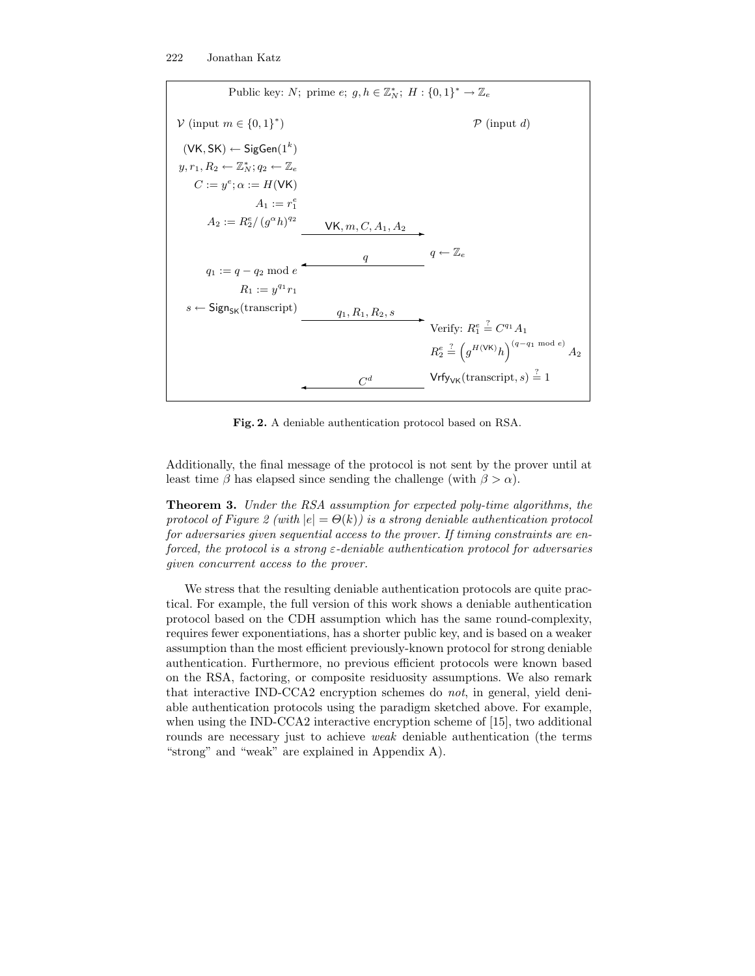Public key: N; prime  $e; g, h \in \mathbb{Z}_N^*$ ;  $H: \{0,1\}^* \to \mathbb{Z}_e$  $\mathcal V$  (input  $m \in \{0,1\}^*$  $P$  (input d)  $(VK, SK) \leftarrow$  SigGen $(1<sup>k</sup>)$  $y, r_1, R_2 \leftarrow \mathbb{Z}_N^*; q_2 \leftarrow \mathbb{Z}_e$  $C := y^e$ ;  $\alpha := H(VK)$  $A_1 := r_1^e$  $A_2 := R_2^e / (g^{\alpha} h)^{q_2}$  $VK, m, C, A_1, A_2$  $q \leftarrow \mathbb{Z}_e$  $q_1 := q - q_2 \mod e$  $R_1 := y^{q_1} r_1$  $s \leftarrow$  Sign<sub>SK</sub>(transcript)  $q_1, R_1, R_2, s$ Verify:  $R_1^e \stackrel{?}{=} C^{q_1} A_1$  $R_2^e \stackrel{?}{=} \left( g^{H(\mathsf{VK})} h \right)^{(q-q_1 \bmod e)} A_2$  $C^d$  Vrfy<sub>VK</sub>(transcript, s)  $\stackrel{?}{=} 1$  $C^d$ 

Fig. 2. A deniable authentication protocol based on RSA.

Additionally, the final message of the protocol is not sent by the prover until at least time  $\beta$  has elapsed since sending the challenge (with  $\beta > \alpha$ ).

Theorem 3. Under the RSA assumption for expected poly-time algorithms, the protocol of Figure 2 (with  $|e| = \Theta(k)$ ) is a strong deniable authentication protocol for adversaries given sequential access to the prover. If timing constraints are enforced, the protocol is a strong ε-deniable authentication protocol for adversaries given concurrent access to the prover.

We stress that the resulting deniable authentication protocols are quite practical. For example, the full version of this work shows a deniable authentication protocol based on the CDH assumption which has the same round-complexity, requires fewer exponentiations, has a shorter public key, and is based on a weaker assumption than the most efficient previously-known protocol for strong deniable authentication. Furthermore, no previous efficient protocols were known based on the RSA, factoring, or composite residuosity assumptions. We also remark that interactive IND-CCA2 encryption schemes do not, in general, yield deniable authentication protocols using the paradigm sketched above. For example, when using the IND-CCA2 interactive encryption scheme of [15], two additional rounds are necessary just to achieve *weak* deniable authentication (the terms "strong" and "weak" are explained in Appendix A).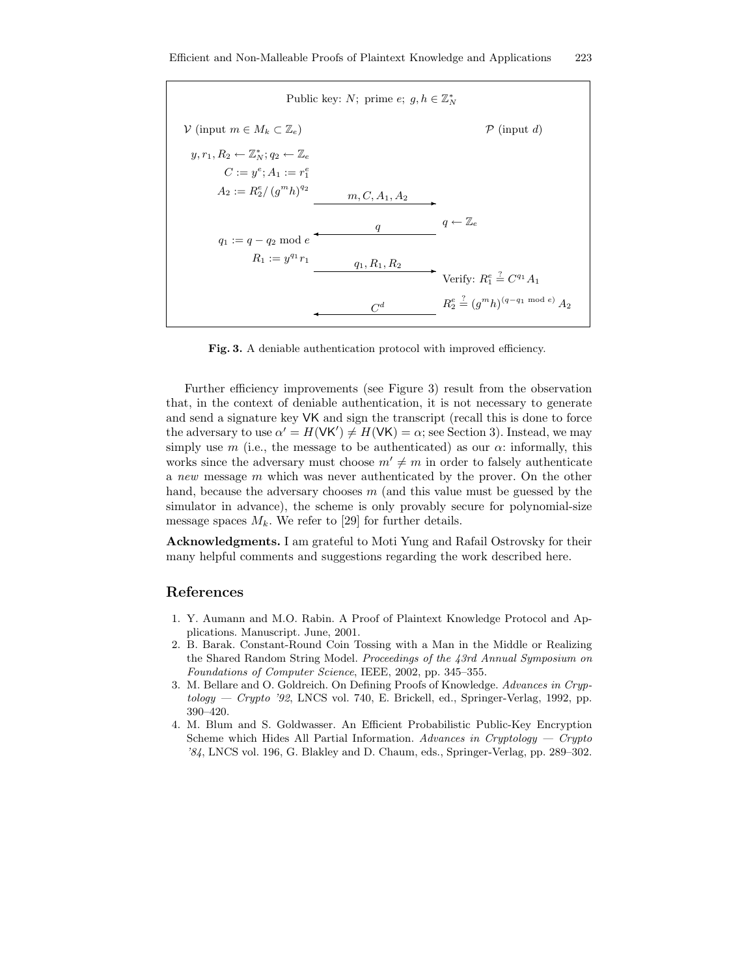

Fig. 3. A deniable authentication protocol with improved efficiency.

Further efficiency improvements (see Figure 3) result from the observation that, in the context of deniable authentication, it is not necessary to generate and send a signature key VK and sign the transcript (recall this is done to force the adversary to use  $\alpha' = H(VK') \neq H(VK) = \alpha$ ; see Section 3). Instead, we may simply use m (i.e., the message to be authenticated) as our  $\alpha$ : informally, this works since the adversary must choose  $m' \neq m$  in order to falsely authenticate a new message  $m$  which was never authenticated by the prover. On the other hand, because the adversary chooses  $m$  (and this value must be guessed by the simulator in advance), the scheme is only provably secure for polynomial-size message spaces  $M_k$ . We refer to [29] for further details.

Acknowledgments. I am grateful to Moti Yung and Rafail Ostrovsky for their many helpful comments and suggestions regarding the work described here.

## References

- 1. Y. Aumann and M.O. Rabin. A Proof of Plaintext Knowledge Protocol and Applications. Manuscript. June, 2001.
- 2. B. Barak. Constant-Round Coin Tossing with a Man in the Middle or Realizing the Shared Random String Model. Proceedings of the 43rd Annual Symposium on Foundations of Computer Science, IEEE, 2002, pp. 345–355.
- 3. M. Bellare and O. Goldreich. On Defining Proofs of Knowledge. Advances in Cryptology — Crypto '92, LNCS vol. 740, E. Brickell, ed., Springer-Verlag, 1992, pp. 390–420.
- 4. M. Blum and S. Goldwasser. An Efficient Probabilistic Public-Key Encryption Scheme which Hides All Partial Information. Advances in Cryptology — Crypto '84, LNCS vol. 196, G. Blakley and D. Chaum, eds., Springer-Verlag, pp. 289–302.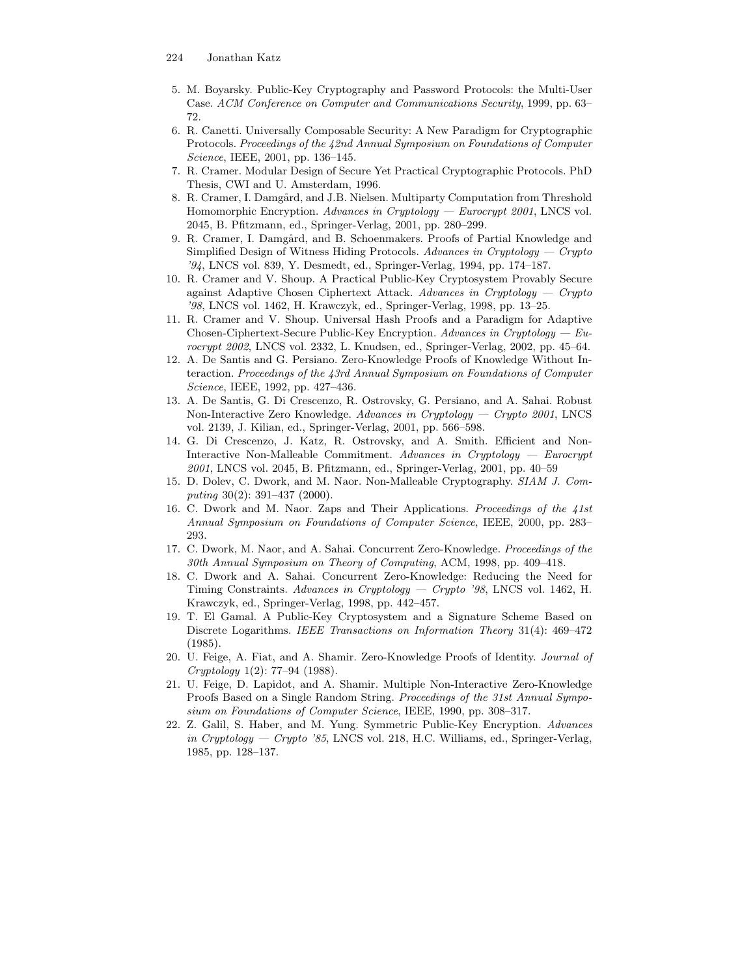- 5. M. Boyarsky. Public-Key Cryptography and Password Protocols: the Multi-User Case. ACM Conference on Computer and Communications Security, 1999, pp. 63– 72.
- 6. R. Canetti. Universally Composable Security: A New Paradigm for Cryptographic Protocols. Proceedings of the 42nd Annual Symposium on Foundations of Computer Science, IEEE, 2001, pp. 136–145.
- 7. R. Cramer. Modular Design of Secure Yet Practical Cryptographic Protocols. PhD Thesis, CWI and U. Amsterdam, 1996.
- 8. R. Cramer, I. Damgård, and J.B. Nielsen. Multiparty Computation from Threshold Homomorphic Encryption. Advances in Cryptology — Eurocrypt 2001, LNCS vol. 2045, B. Pfitzmann, ed., Springer-Verlag, 2001, pp. 280–299.
- 9. R. Cramer, I. Damgård, and B. Schoenmakers. Proofs of Partial Knowledge and Simplified Design of Witness Hiding Protocols. Advances in Cryptology — Crypto '94, LNCS vol. 839, Y. Desmedt, ed., Springer-Verlag, 1994, pp. 174–187.
- 10. R. Cramer and V. Shoup. A Practical Public-Key Cryptosystem Provably Secure against Adaptive Chosen Ciphertext Attack. Advances in Cryptology — Crypto '98, LNCS vol. 1462, H. Krawczyk, ed., Springer-Verlag, 1998, pp. 13–25.
- 11. R. Cramer and V. Shoup. Universal Hash Proofs and a Paradigm for Adaptive Chosen-Ciphertext-Secure Public-Key Encryption. Advances in Cryptology — Eurocrypt 2002, LNCS vol. 2332, L. Knudsen, ed., Springer-Verlag, 2002, pp. 45–64.
- 12. A. De Santis and G. Persiano. Zero-Knowledge Proofs of Knowledge Without Interaction. Proceedings of the 43rd Annual Symposium on Foundations of Computer Science, IEEE, 1992, pp. 427–436.
- 13. A. De Santis, G. Di Crescenzo, R. Ostrovsky, G. Persiano, and A. Sahai. Robust Non-Interactive Zero Knowledge. Advances in Cryptology — Crypto 2001, LNCS vol. 2139, J. Kilian, ed., Springer-Verlag, 2001, pp. 566–598.
- 14. G. Di Crescenzo, J. Katz, R. Ostrovsky, and A. Smith. Efficient and Non-Interactive Non-Malleable Commitment. Advances in Cryptology — Eurocrypt 2001, LNCS vol. 2045, B. Pfitzmann, ed., Springer-Verlag, 2001, pp. 40–59
- 15. D. Dolev, C. Dwork, and M. Naor. Non-Malleable Cryptography. SIAM J. Computing 30(2): 391–437 (2000).
- 16. C. Dwork and M. Naor. Zaps and Their Applications. Proceedings of the 41st Annual Symposium on Foundations of Computer Science, IEEE, 2000, pp. 283– 293.
- 17. C. Dwork, M. Naor, and A. Sahai. Concurrent Zero-Knowledge. Proceedings of the 30th Annual Symposium on Theory of Computing, ACM, 1998, pp. 409–418.
- 18. C. Dwork and A. Sahai. Concurrent Zero-Knowledge: Reducing the Need for Timing Constraints. Advances in Cryptology — Crypto '98, LNCS vol. 1462, H. Krawczyk, ed., Springer-Verlag, 1998, pp. 442–457.
- 19. T. El Gamal. A Public-Key Cryptosystem and a Signature Scheme Based on Discrete Logarithms. IEEE Transactions on Information Theory 31(4): 469–472 (1985).
- 20. U. Feige, A. Fiat, and A. Shamir. Zero-Knowledge Proofs of Identity. Journal of Cryptology 1(2): 77–94 (1988).
- 21. U. Feige, D. Lapidot, and A. Shamir. Multiple Non-Interactive Zero-Knowledge Proofs Based on a Single Random String. Proceedings of the 31st Annual Symposium on Foundations of Computer Science, IEEE, 1990, pp. 308–317.
- 22. Z. Galil, S. Haber, and M. Yung. Symmetric Public-Key Encryption. Advances in Cryptology — Crypto '85, LNCS vol. 218, H.C. Williams, ed., Springer-Verlag, 1985, pp. 128–137.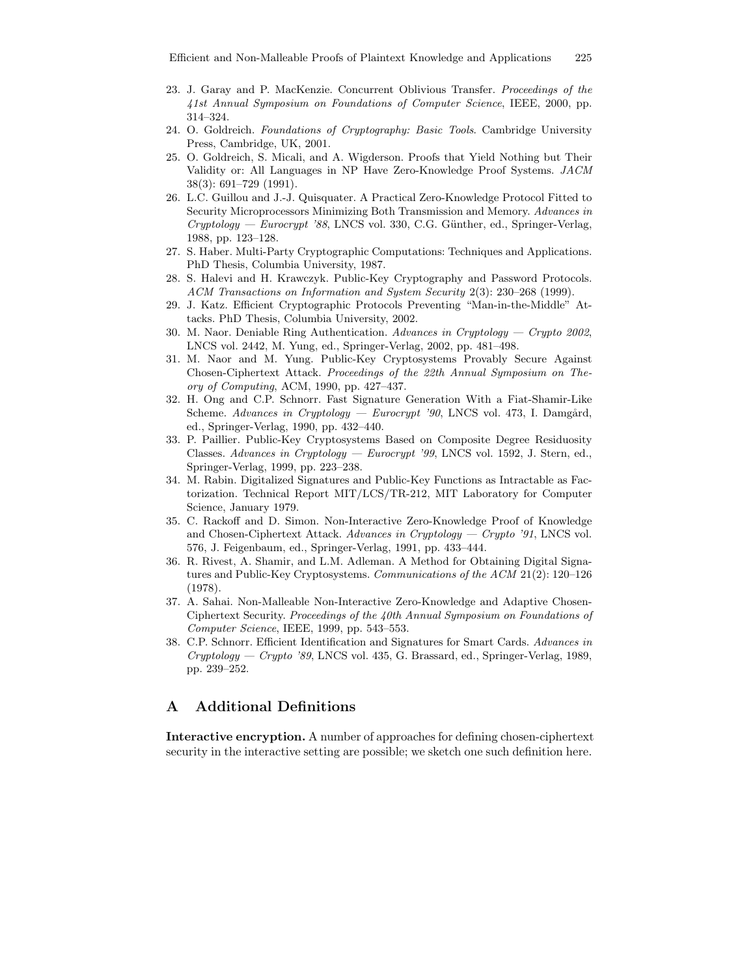- 23. J. Garay and P. MacKenzie. Concurrent Oblivious Transfer. Proceedings of the 41st Annual Symposium on Foundations of Computer Science, IEEE, 2000, pp. 314–324.
- 24. O. Goldreich. Foundations of Cryptography: Basic Tools. Cambridge University Press, Cambridge, UK, 2001.
- 25. O. Goldreich, S. Micali, and A. Wigderson. Proofs that Yield Nothing but Their Validity or: All Languages in NP Have Zero-Knowledge Proof Systems. JACM 38(3): 691–729 (1991).
- 26. L.C. Guillou and J.-J. Quisquater. A Practical Zero-Knowledge Protocol Fitted to Security Microprocessors Minimizing Both Transmission and Memory. Advances in  $Cryptology - Eurocrypt$  '88, LNCS vol. 330, C.G. Günther, ed., Springer-Verlag, 1988, pp. 123–128.
- 27. S. Haber. Multi-Party Cryptographic Computations: Techniques and Applications. PhD Thesis, Columbia University, 1987.
- 28. S. Halevi and H. Krawczyk. Public-Key Cryptography and Password Protocols. ACM Transactions on Information and System Security 2(3): 230–268 (1999).
- 29. J. Katz. Efficient Cryptographic Protocols Preventing "Man-in-the-Middle" Attacks. PhD Thesis, Columbia University, 2002.
- 30. M. Naor. Deniable Ring Authentication. Advances in Cryptology Crypto 2002, LNCS vol. 2442, M. Yung, ed., Springer-Verlag, 2002, pp. 481–498.
- 31. M. Naor and M. Yung. Public-Key Cryptosystems Provably Secure Against Chosen-Ciphertext Attack. Proceedings of the 22th Annual Symposium on Theory of Computing, ACM, 1990, pp. 427–437.
- 32. H. Ong and C.P. Schnorr. Fast Signature Generation With a Fiat-Shamir-Like Scheme. Advances in Cryptology — Eurocrypt '90, LNCS vol. 473, I. Damgård, ed., Springer-Verlag, 1990, pp. 432–440.
- 33. P. Paillier. Public-Key Cryptosystems Based on Composite Degree Residuosity Classes. Advances in Cryptology — Eurocrypt '99, LNCS vol. 1592, J. Stern, ed., Springer-Verlag, 1999, pp. 223–238.
- 34. M. Rabin. Digitalized Signatures and Public-Key Functions as Intractable as Factorization. Technical Report MIT/LCS/TR-212, MIT Laboratory for Computer Science, January 1979.
- 35. C. Rackoff and D. Simon. Non-Interactive Zero-Knowledge Proof of Knowledge and Chosen-Ciphertext Attack. Advances in Cryptology — Crypto '91, LNCS vol. 576, J. Feigenbaum, ed., Springer-Verlag, 1991, pp. 433–444.
- 36. R. Rivest, A. Shamir, and L.M. Adleman. A Method for Obtaining Digital Signatures and Public-Key Cryptosystems. Communications of the ACM 21(2): 120–126 (1978).
- 37. A. Sahai. Non-Malleable Non-Interactive Zero-Knowledge and Adaptive Chosen-Ciphertext Security. Proceedings of the 40th Annual Symposium on Foundations of Computer Science, IEEE, 1999, pp. 543–553.
- 38. C.P. Schnorr. Efficient Identification and Signatures for Smart Cards. Advances in  $Cryptology - Crypto'89$ , LNCS vol. 435, G. Brassard, ed., Springer-Verlag, 1989, pp. 239–252.

# A Additional Definitions

Interactive encryption. A number of approaches for defining chosen-ciphertext security in the interactive setting are possible; we sketch one such definition here.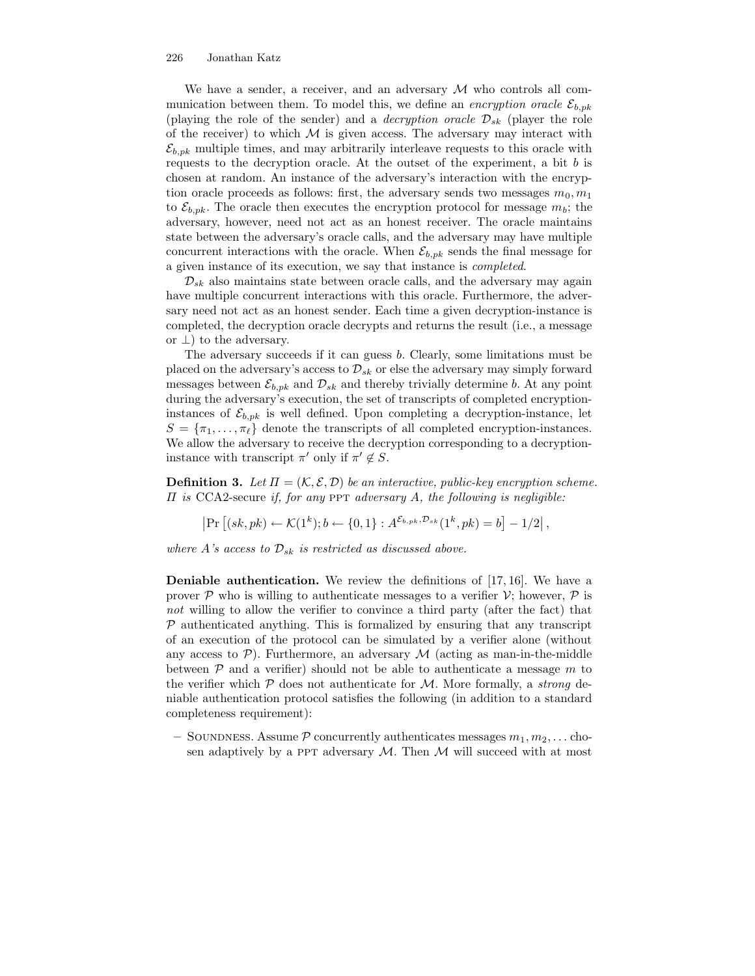We have a sender, a receiver, and an adversary  $\mathcal M$  who controls all communication between them. To model this, we define an *encryption oracle*  $\mathcal{E}_{b,pk}$ (playing the role of the sender) and a *decryption oracle*  $\mathcal{D}_{sk}$  (player the role of the receiver) to which  $M$  is given access. The adversary may interact with  $\mathcal{E}_{b,pk}$  multiple times, and may arbitrarily interleave requests to this oracle with requests to the decryption oracle. At the outset of the experiment, a bit  $b$  is chosen at random. An instance of the adversary's interaction with the encryption oracle proceeds as follows: first, the adversary sends two messages  $m_0, m_1$ to  $\mathcal{E}_{b,pk}$ . The oracle then executes the encryption protocol for message  $m_b$ ; the adversary, however, need not act as an honest receiver. The oracle maintains state between the adversary's oracle calls, and the adversary may have multiple concurrent interactions with the oracle. When  $\mathcal{E}_{b,pk}$  sends the final message for a given instance of its execution, we say that instance is completed.

 $\mathcal{D}_{sk}$  also maintains state between oracle calls, and the adversary may again have multiple concurrent interactions with this oracle. Furthermore, the adversary need not act as an honest sender. Each time a given decryption-instance is completed, the decryption oracle decrypts and returns the result (i.e., a message or  $\perp$ ) to the adversary.

The adversary succeeds if it can guess b. Clearly, some limitations must be placed on the adversary's access to  $\mathcal{D}_{sk}$  or else the adversary may simply forward messages between  $\mathcal{E}_{b,pk}$  and  $\mathcal{D}_{sk}$  and thereby trivially determine b. At any point during the adversary's execution, the set of transcripts of completed encryptioninstances of  $\mathcal{E}_{b,pk}$  is well defined. Upon completing a decryption-instance, let  $S = \{\pi_1, \ldots, \pi_\ell\}$  denote the transcripts of all completed encryption-instances. We allow the adversary to receive the decryption corresponding to a decryptioninstance with transcript  $\pi'$  only if  $\pi' \notin S$ .

**Definition 3.** Let  $\Pi = (K, \mathcal{E}, \mathcal{D})$  be an interactive, public-key encryption scheme.  $\Pi$  is CCA2-secure if, for any PPT adversary A, the following is negligible:

 $\left| \Pr \left[ (sk, pk) \leftarrow \mathcal{K}(1^k); b \leftarrow \{0, 1\} : A^{\mathcal{E}_{b, pk}, \mathcal{D}_{sk}}(1^k, pk) = b \right] - 1/2 \right|,$ 

where A's access to  $\mathcal{D}_{sk}$  is restricted as discussed above.

**Deniable authentication.** We review the definitions of  $[17, 16]$ . We have a prover P who is willing to authenticate messages to a verifier  $\mathcal V$ ; however, P is not willing to allow the verifier to convince a third party (after the fact) that  $P$  authenticated anything. This is formalized by ensuring that any transcript of an execution of the protocol can be simulated by a verifier alone (without any access to  $\mathcal{P}$ ). Furthermore, an adversary  $\mathcal{M}$  (acting as man-in-the-middle between  $P$  and a verifier) should not be able to authenticate a message  $m$  to the verifier which  $P$  does not authenticate for  $M$ . More formally, a *strong* deniable authentication protocol satisfies the following (in addition to a standard completeness requirement):

– SOUNDNESS. Assume  $P$  concurrently authenticates messages  $m_1, m_2, \ldots$  chosen adaptively by a PPT adversary  $\mathcal M$ . Then  $\mathcal M$  will succeed with at most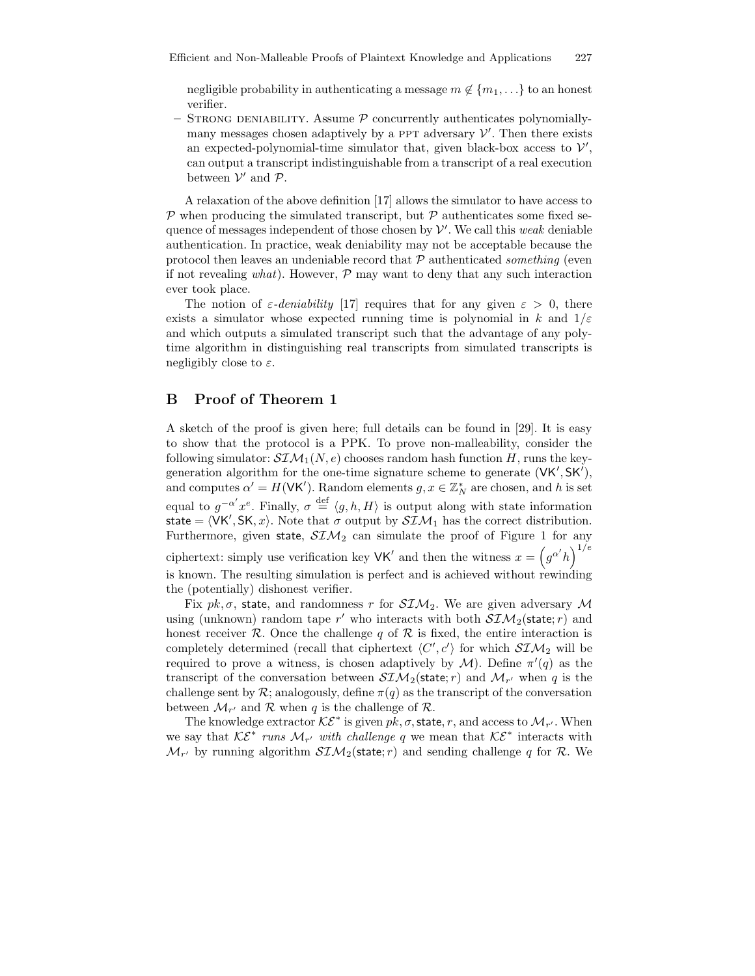negligible probability in authenticating a message  $m \notin \{m_1, \ldots\}$  to an honest verifier.

– STRONG DENIABILITY. Assume  $P$  concurrently authenticates polynomiallymany messages chosen adaptively by a PPT adversary  $\mathcal{V}'$ . Then there exists an expected-polynomial-time simulator that, given black-box access to  $\mathcal{V}',$ can output a transcript indistinguishable from a transcript of a real execution between  $\mathcal{V}'$  and  $\mathcal{P}$ .

A relaxation of the above definition [17] allows the simulator to have access to  $\mathcal P$  when producing the simulated transcript, but  $\mathcal P$  authenticates some fixed sequence of messages independent of those chosen by  $\mathcal{V}'$ . We call this weak deniable authentication. In practice, weak deniability may not be acceptable because the protocol then leaves an undeniable record that  $P$  authenticated *something* (even if not revealing what). However,  $P$  may want to deny that any such interaction ever took place.

The notion of  $\varepsilon$ -deniability [17] requires that for any given  $\varepsilon > 0$ , there exists a simulator whose expected running time is polynomial in k and  $1/\varepsilon$ and which outputs a simulated transcript such that the advantage of any polytime algorithm in distinguishing real transcripts from simulated transcripts is negligibly close to  $\varepsilon$ .

## B Proof of Theorem 1

A sketch of the proof is given here; full details can be found in [29]. It is easy to show that the protocol is a PPK. To prove non-malleability, consider the following simulator:  $\mathcal{SIM}_1(N, e)$  chooses random hash function H, runs the keygeneration algorithm for the one-time signature scheme to generate  $(VK', SK'),$ and computes  $\alpha' = H(\mathsf{VK}')$ . Random elements  $g, x \in \mathbb{Z}_N^*$  are chosen, and h is set equal to  $g^{-\alpha'} x^e$ . Finally,  $\sigma \stackrel{\text{def}}{=} \langle g, h, H \rangle$  is output along with state information state =  $\langle \overline{VK}', SK, x \rangle$ . Note that  $\sigma$  output by  $\mathcal{SIM}_1$  has the correct distribution. Furthermore, given state,  $SIM<sub>2</sub>$  can simulate the proof of Figure 1 for any ciphertext: simply use verification key  $\mathsf{VK}'$  and then the witness  $x = \left(g^{\alpha'}h\right)^{1/e}$ is known. The resulting simulation is perfect and is achieved without rewinding the (potentially) dishonest verifier.

Fix  $pk, \sigma$ , state, and randomness r for  $SIM_2$ . We are given adversary M using (unknown) random tape  $r'$  who interacts with both  $\mathcal{SIM}_2(\mathsf{state}; r)$  and honest receiver R. Once the challenge q of R is fixed, the entire interaction is completely determined (recall that ciphertext  $\langle C', c' \rangle$  for which  $\mathcal{SIM}_2$  will be required to prove a witness, is chosen adaptively by  $\mathcal{M}$ ). Define  $\pi'(q)$  as the transcript of the conversation between  $SIM_2(\text{state}; r)$  and  $\mathcal{M}_{r'}$  when q is the challenge sent by R; analogously, define  $\pi(q)$  as the transcript of the conversation between  $\mathcal{M}_{r'}$  and  $\mathcal R$  when q is the challenge of  $\mathcal R$ .

The knowledge extractor  $\mathcal{KE}^*$  is given  $p\vec{k}, \sigma,$  state,  $r,$  and access to  $\mathcal{M}_{r'}.$  When we say that  $\mathcal{KE}^*$  runs  $\mathcal{M}_{r'}$  with challenge q we mean that  $\mathcal{KE}^*$  interacts with  $\mathcal{M}_{r'}$  by running algorithm  $\mathcal{SIM}_2(\textsf{state}; r)$  and sending challenge q for R. We